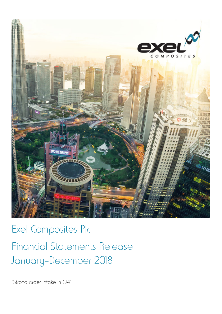

Exel Composites Plc Financial Statements Release January–December 2018

"Strong order intake in Q4"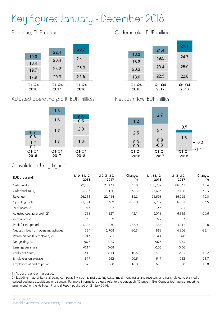# Key figures January - December 2018

Revenue, EUR million

|               | 22.4            | 26.7            |  |
|---------------|-----------------|-----------------|--|
| 19.0          | 20.4            | 23.1            |  |
| 16.4          |                 |                 |  |
| 19.7          | 23.2            | 25.3            |  |
| 17.9          | 20.3            | 21.5            |  |
| Q1-Q4<br>2016 | $Q1-Q4$<br>2017 | $Q1-Q4$<br>2018 |  |

Adjusted operating profit, EUR million



Order intake, EUR million

|                 |               | 29.1          |
|-----------------|---------------|---------------|
|                 | 21.4          |               |
| 18.3            | 19.3          | 24.7          |
| 18.2            |               |               |
| 20.2            | 23.4          | 25.0          |
| 18.0            | 22.5          | 22.0          |
|                 |               |               |
| $Q1-Q4$<br>2016 | Q1-Q4<br>2017 | Q1-Q4<br>2018 |
|                 |               |               |

Net cash flow, EUR million



### Consolidated key figures

| <b>EUR thousand</b>                     | 1.10.-31.12.<br>2018 | $1.10 - 31.12$ .<br>2017 | Change,<br>$\frac{0}{0}$ | $1.1 - 31.12.$<br>2018 | $1.1 - 31.12.$<br>2017 | Change,<br>$\frac{0}{0}$ |
|-----------------------------------------|----------------------|--------------------------|--------------------------|------------------------|------------------------|--------------------------|
| Order intake                            | 29,108               | 21,433                   | 35.8                     | 100,757                | 86,531                 | 16.4                     |
| Order backlog 1)                        | 23,685               | 17,126                   | 38.3                     | 23,685                 | 17,126                 | 38.3                     |
| Revenue                                 | 26,711               | 22,414                   | 19.2                     | 96,608                 | 86,255                 | 12.0                     |
| Operating profit                        | $-1,194$             | 1,389                    | $-186.0$                 | 2,217                  | 6,081                  | $-63.5$                  |
| % of revenue                            | $-4.5$               | 6.2                      |                          | 2.3                    | 7.1                    |                          |
| Adjusted operating profit 2)            | 768                  | 1,327                    | $-42.1$                  | 5,018                  | 6,319                  | $-20.6$                  |
| % of revenue                            | 2.9                  | 5.9                      |                          | 5.2                    | 7.3                    |                          |
| Profit for the period                   | $-1,606$             | 956                      | $-267.9$                 | 386                    | 4,212                  | $-90.8$                  |
| Net cash flow from operating activities | 534                  | 2,708                    | $-80.3$                  | 868                    | 4,856                  | $-82.1$                  |
| Return on capital employed, %           | $-8.3$               | 12.3                     |                          | 4.4                    | 14.8                   |                          |
| Net gearing, %                          | 96.3                 | 30.3                     |                          | 96.3                   | 30.3                   |                          |
| Earnings per share                      | $-0.14$              | 0.08                     |                          | 0.03                   | 0.36                   |                          |
| Equity per share, EUR                   | 2.18                 | 2.44                     | $-10.5$                  | 2.18                   | 2.43                   | $-10.2$                  |
| Employees on average                    | 677                  | 562                      | 20.6                     | 647                    | 532                    | 21.7                     |
| Employees at end of period              | 675                  | 568                      | 18.8                     | 675                    | 568                    | 18.8                     |

1) As per the end of the period.

2) Excluding material items affecting comparability, such as restructuring costs, impairment losses and reversals, and costs related to planned or realized business acquisitions or disposals. For more information, please refer to the paragraph "Change in Exel Composites' financial reporting terminology" of the Half-year Financial Report published on 21 July 2016.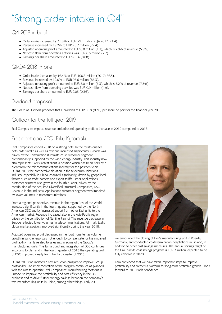# "Strong order intake in Q4"

## Q4 2018 in brief

- Order intake increased by 35.8% to EUR 29.1 million (Q4 2017: 21.4).
- Revenue increased by 19.2% to EUR 26.7 million (22.4).
- Adjusted operating profit amounted to EUR 0.8 million (1.3), which is 2.9% of revenue (5.9%).
- Net cash flow from operating activities was EUR 0.5 million (2.7).
- Earnings per share amounted to EUR -0.14 (0.08).

### Q1-Q4 2018 in brief

- Order intake increased by 16.4% to EUR 100.8 million (2017: 86.5).
- Revenue increased by  $12.0\%$  to EUR 96.6 million (86.3).
- Adjusted operating profit amounted to EUR 5.0 million (6.3), which is 5.2% of revenue (7.3%).
- Net cash flow from operating activities was EUR 0.9 million (4.9).
- Earnings per share amounted to EUR 0.03 (0.36).

### Dividend proposal

The Board of Directors proposes that a dividend of EUR 0.18 (0.30) per share be paid for the financial year 2018.

# Outlook for the full year 2019

Exel Composites expects revenue and adjusted operating profit to increase in 2019 compared to 2018.

# President and CEO, Riku Kytömäki

Exel Composites ended 2018 on a strong note. In the fourth quarter both order intake as well as revenue increased significantly. Growth was driven by the Construction & Infrastructure customer segment, predominantly supported by the wind energy industry. This industry now also represents Exel's largest client, a position which has been held by a client from the telecommunications industry for the past ten years. During 2018 the competitive situation in the telecommunications industry, especially in China, changed significantly, driven by geopolitical factors such as trade barriers and export tariffs. Other Applications customer segment also grew in the fourth quarter, driven by the contribution of the acquired Diversified Structural Composites, DSC. Revenue in the Industrial Applications customer segment was impaired by lower volumes in telecommunications.

From a regional perspective, revenue in the region Rest of the World increased significantly in the fourth quarter supported by the North American DSC and by increased export from other Exel units to the American market. Revenue increased also in the Asia-Pacific region driven by the contribution of Nanjing Jianhui. The revenue decrease in Europe reflected lower volumes in telecommunications. All in all, Exel's global market position improved significantly during the year 2018.

Adjusted operating profit decreased in the fourth quarter, as volume growth in wind energy was not enough to compensate for the impaired profitability mainly related to sales mix in some of the Group's manufacturing units. The turnaround and integration of DSC continues according to plan and in the fourth quarter of 2018 the operating profit of DSC improved clearly from the third quarter of 2018.

During 2018 we initiated a cost reduction program to improve Group profitability. The implementation of the program continues as planned with the aim to optimize Exel Composites' manufacturing footprint in Europe, to improve the profitability and cost efficiency in the DSC business and to drive further synergy savings between the company's two manufacturing units in China, among other things. Early 2019



we announced the closing of Exel's manufacturing unit in Voerde, Germany, and conducted co-determination negotiations in Finland, in addition to other cost savings measures. The annual savings target of the Group-wide cost savings program is EUR 3 million, expected to be fully effective in 2020.

I am convinced that we have taken important steps to improve profitability and created a platform for long-term profitable growth. I look forward to 2019 with confidence.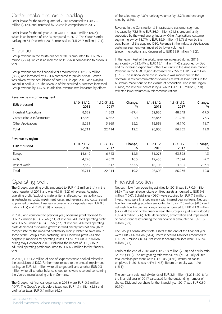### Order intake and order backlog

Order intake for the fourth quarter of 2018 amounted to EUR 29.1 million (21.4), and increased by 35.8% in comparison to 2017.

Order intake for the full year 2018 was EUR 100.8 million (86.5), which is an increase of 16.4% compared to 2017. The Group's order backlog on 31 December 2018 increased to EUR 23.7 million (17.1).

### Revenue

Group revenue in the fourth quarter of 2018 amounted to EUR 26.7 million (22.4), which is an increase of 19.2% in comparison to previous year.

Group revenue for the financial year amounted to EUR 96.6 million (86.3) and increased by 12.0% compared to previous year. Growth was driven by the acquisitions of both DSC in April 2018 and Nanjing Jianhui in April 2017. The revenue of the acquired businesses increased Group revenue by 13.7%. In addition, revenue was impacted by effects

of the sales mix by 4.0%, delivery volumes by -5.2% and exchange rates by -0.5%.

Revenue in the Construction & Infrastructure customer segment increased by 73.3% to EUR 36.9 million (21.3), predominantly supported by the wind energy industry. Other Applications customer segment grew by 18.7% to EUR 19.9 million (16.7) driven by the contribution of the acquired DSC. Revenue in the Industrial Applications customer segment was impaired by lower volumes in telecommunications and decreased to EUR 39.9 million (48.2).

In the region Rest of the World, revenue increased during 2018 significantly by 293.4% to EUR 18.1 million (4.6) supported by DSC and by increased export from other Exel units to the American market. Revenue in the APAC region decreased by 2.2% to EUR 17.4 million (17.8). The regional decrease in revenue was mainly due to the decrease in telecommunications volumes as well as lower sales in the Australian market due to the closure of production. Also in the region Europe, the revenue decrease by 4.3% to EUR 61.1 million (63.8) reflected lower volumes in telecommunications.

#### Revenue by customer segment

| <b>EUR thousand</b>           | $1.10 - 31.12.$<br>2018 | 1.10.-31.12.<br>2017     | Change,<br>$\frac{0}{0}$ | $1.1 - 31.12.$<br>2018 | $1.1 - 31.12.$<br>2017 | Change,<br>$\frac{0}{0}$ |
|-------------------------------|-------------------------|--------------------------|--------------------------|------------------------|------------------------|--------------------------|
| Industrial Applications       | 8,629                   | 11,883                   | $-27.4$                  | 39,885                 | 48,249                 | $-17.3$                  |
| Construction & Infrastructure | 12,850                  | 6,662                    | 92.9                     | 36,855                 | 21,266                 | 73.3                     |
| Other Applications            | 5,231                   | 3,869                    | 35.2                     | 19,868                 | 16,740                 | 18.7                     |
| Total                         | 26,711                  | 22,414                   | 19.2                     | 96,608                 | 86,255                 | 12.0                     |
| Revenue by region             |                         |                          |                          |                        |                        |                          |
| <b>EUR thousand</b>           | $1.10 - 31.12.$<br>2018 | $1.10 - 31.12$ .<br>2017 | Change,<br>%             | $1.1 - 31.12.$<br>2018 | $1.1 - 31.12.$<br>2017 | Change,<br>$\frac{0}{0}$ |
| Europe                        | 14,649                  | 16,743                   | $-12.5$                  | 61,073                 | 63,828                 | $-4.3$                   |
| APAC                          | 4,720                   | 4,059                    | 16.3                     | 17,430                 | 17,824                 | $-2.2$                   |

Rest of world 7,342 1,612 355.5 18,106 4,603 293.4 Total 26,711 22,414 19.2 96,608 86,255 12.0

### Operating profit

The Group's operating profit amounted to EUR -1.2 million (1.4) in the fourth quarter of 2018 and was -4.5% (6.2) of revenue. Adjusted operating profit (excluding material items affecting comparability, such as restructuring costs, impairment losses and reversals, and costs related to planned or realized business acquisitions or disposals) was EUR 0.8 million (1.3) and 2.9% (5.9) of revenue.

In 2018 and compared to previous year, operating profit declined to EUR 2.2 million (6.1), 2.3% (7.1) of revenue. Adjusted operating profit was EUR 5.0 million (6.3), 5.2% (7.3) of revenue. Adjusted operating profit decreased as volume growth in wind energy was not enough to compensate for the impaired profitability mainly related to sales mix in some of the Group's manufacturing units. Operating profit was also negatively impacted by operating losses in DSC of EUR -1.2 million during May-December 2018. Excluding the impact of DSC, Group adjusted operating profit amounted to EUR 6.2 million for the financial year.

In 2018, EUR 1.2 million of one-off expenses were booked related to the acquisition of DSC. Furthermore, related to the annual impairment testing, an EUR 1.3 million write-off to goodwill and another EUR 0.3 million write-off to other balance sheet items were recorded concerning the Voerde manufacturing unit in Germany.

The Group's net financial expenses in 2018 were EUR -0.5 million (-0.7). The Group's profit before taxes was EUR 1.7 million (5.3) and profit after taxes EUR 0.4 million (4.2).

### Financial position

Net cash flow from operating activities for 2018 was EUR 0.9 million (4.9). The capital expenditure on fixed assets amounted to EUR 9.6 million (10.0). Subsidiaries (DSC) were acquired for EUR 7.9 million. Investments were financed mainly with interest bearing loans. Net cash flow from investing activities amounted to EUR -12.8 million (-8.5) and net cash flow before financing activities amounted to EUR -11.9 million (-3.7). At the end of the financial year, the Group's liquid assets stood at EUR 4.8 million (7.6). Total depreciation, amortization and impairment of non-current assets during the financial year amounted to EUR 5.5 million (3.2).

The Group's consolidated total assets at the end of the financial year were EUR 74.6 million (64.4). Interest bearing liabilities amounted to EUR 29.6 million (16.4). Net interest bearing liabilities were EUR 24.8 million (8.7).

Equity at the end of 2018 was EUR 25.8 million (28.8) and equity ratio 34.7% (44.8). The net gearing ratio was 96.3% (30.3). Fully diluted total earnings per share were EUR 0.03 (0.36). Return on capital employed in 2018 was 4.4% (14.8). Return on equity was 1.4% (15.1).

The company paid total dividends of EUR 3.5 million (1.2) in 2018 for the financial year of 2017 calculated for the outstanding number of shares. Dividend per share for the financial year 2017 was EUR 0.30 (0.10).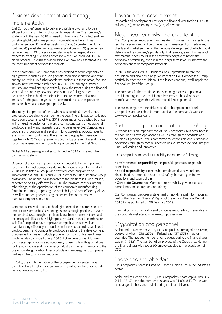### Business development and strategy

### implementation

Exel Composites' target is to deliver profitable growth and to be an efficient company in terms of its capital expenditure. The company's strategy until the year 2020 is based on five pillars: 1) protect and grow our stronghold customers providing competitive edge and best customer service, 2) build leadership in China, 3) create true global footprint, 4) penetrate growing/ new applications and 5) grow in new technologies. In 2018 a significant step was taken especially with respect to creating true global footprint, when Exel acquired DSC in North America. Through this acquisition Exel now has a foothold in all of the most important composites markets.

In the short-term, Exel Composites has decided to focus especially on high growth industries, including construction, transportation and wind energy industries. To further accelerate business in these areas, focused growth initiatives were established in 2018. The energy customer industry, and wind energy specifically, grew the most during the financial year and this industry now also represents Exel's largest client. This position has been held by a client from the telecommunications industry for the past ten years. The construction and transportation industries have also developed positively.

The integration process of DSC, which was acquired in April 2018, progressed according to plan during the year. The unit was consolidated into group accounts as of May 2018. Acquiring an established business, with an existing customer network, a competent team, an operational production facility and interesting technologies gave Exel Composites a good starting position and a platform for cross-selling opportunities to existing and new customers. The expanded geographic presence together with DSC's complementary technological strengths and market focus has opened up new growth opportunities for the Exel Group.

Global M&A screening activities continued in 2018 in line with the company's strategy.

Operational efficiency improvements continued to be an important focus area for Exel Composites during the financial year. In the fall of 2018 Exel initiated a Group-wide cost reduction program to be implemented during 2018 and 2019 in order to further improve Group profitability. The annual savings target of the program is EUR 3 million, expected to be fully effective in 2020. The program consists, among other things, of the optimization of the company's manufacturing footprint in Europe, improving the profitability and cost efficiency of DSC as well as further synergy savings between the company's two manufacturing units in China.

Continuous innovation and technological expertise in composites are one of Exel Composites' key strengths and strategic priorities. In 2018, the acquired DSC brought high-level know-how on carbon fibers and technological skills such as high-speed production that in combination with Exel's expertise have improved competitiveness as well as manufacturing efficiency and quality. Initiatives to extend capabilities in product design and composite production, including the development of advanced laminate products produced using a double band press machine, also continued during 2018. Active development for new composites applications also continued, for example with applications for the automotive and wind energy industry as well as in relation to the use of long-length carbon fiber products and mid-segment composite profiles in the construction industry.

In 2018, the implementation of the Group-wide ERP system was completed in all Exel's European units. The rollout in the units outside Europe continues in 2019.

### Research and development

Research and development costs for the financial year totaled EUR 2.8 million (1.9), representing 2.9% (2.2) of revenue.

### Major near-term risks and uncertainties

Exel Composites' most significant near-term business risk relates to the fact that a significant portion of revenue is generated from certain key clients and market segments, the negative development of which would deteriorate the company's profitability. Furthermore, a rapid increase of raw material prices could in the short term negatively impact the company's profitability, even if in the longer term it would improve the competitiveness of composite materials.

In 2018, the acquired DSC business was unprofitable before the acquisition and also had a negative impact on Exel Composites' Group profitability after the acquisition. If the losses continue, it will impair the financial results of the Group.

The company further continues the screening process of potential acquisition targets. The acquisition prices may be based on such benefits and synergies that will not materialize as planned.

The risk management and risks related to the operation of Exel Composites are described in more detail at the company's website www.exelcomposites.com.

### Sustainability and corporate responsibility

Sustainability is an important part of Exel Composites' business, both in relation with its own operations as well as through the products and solutions it produces. Exel is committed to responsible and sustainable operations through its core business values: customer focused, integrity, One Exel, caring and innovative.

Exel Composites' material sustainability topics are the following:

• Environmental responsibility: Responsible products, responsible operations

• Social responsibility: Responsible employer, diversity and nondiscrimination, occupation health and safety, human rights in own operations and supply chain

• Corporate Governance: Corporate responsibility governance and compliance, anti-corruption and bribery

Exel Composites discloses a statement on non-financial information as part of the Board of Directors' Report of the Annual Financial Report 2018 to be published on 28 February 2019.

Information on sustainability and corporate responsibility is available on the corporate website at www.exelcomposites.com.

# Organization and personnel

At the end of December 2018, Exel Composites employed 675 (568) people, of whom 238 (230) in Finland and 437 (338) in other countries. The average number of employees during the financial year was 647 (532). The number of employees of the Group grew during the financial year with about 90 employees due to the acquisition of DSC.

### Share and shareholders

Exel Composites' share is listed on Nasdaq Helsinki Ltd in the Industrials sector.

At the end of December 2018, Exel Composites' share capital was EUR 2,141,431.74 and the number of shares was 11,896,843. There were no changes in the share capital during the financial year.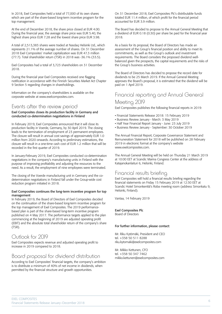In 2018, Exel Composites held a total of 77,000 of its own shares which are part of the share-based long-term incentive program for the top management.

At the end of December 2018, the share price closed at EUR 4.00. During the financial year, the average share price was EUR 5.40, the highest share price EUR 7.28 and the lowest share price EUR 3.98.

A total of 2,513,383 shares were traded at Nasdaq Helsinki Ltd., which represents 21.1% of the average number of shares. On 31 December 2018 Exel Composites' market capitalization was EUR 47.3 million (77.7). Total shareholder return (TSR) in 2018 was -36.1% (33.5).

Exel Composites had a total of 3,723 shareholders on 31 December 2018.

During the financial year Exel Composites received one flagging notification in accordance with the Finnish Securities Market Act Chapter 9 Section 5 regarding changes in shareholdings.

Information on the company's shareholders is available on the corporate website at www.exelcomposites.com.

### Events after the review period

#### Exel Composites closes its production facility in Germany and conducted co-determination negotiations in Finland

In February 2019, Exel Composites announced that it will close its production facility in Voerde, Germany, by 30 April 2019. The closing leads to the termination of employment of 23 permanent employees. The closure will result in annual cost savings of approximately EUR 1.0 million from 2020 onwards. According to preliminary estimations, the closure will result in a one-time cash cost of EUR 1.2 million that will be recorded in the first quarter of 2019.

In January-February 2019, Exel Composites conducted co-determination negotiations in the company's manufacturing units in Finland with the purpose of improving profitability and adjusting the resources to the need. As a result, the employment of nine employees were terminated.

The closing of the Voerde manufacturing unit in Germany and the codetermination negotiations in Finland fall under the Group-wide cost reduction program initiated in 2018.

#### Exel Composites continues the long-term incentive program for top management

In February 2019, the Board of Directors of Exel Composites decided on the continuation of the share-based long-term incentive program for the top management of Exel Composites. The 2019 performancebased plan is part of the share-based long-term incentive program published on 4 May 2017. The performance targets applied to the plan commencing at the beginning of 2019 are adjusted operating profit (EBIT) and the absolute total shareholder return of the company's share (TSR).

### Outlook for 2019

Exel Composites expects revenue and adjusted operating profit to increase in 2019 compared to 2018.

### Board proposal for dividend distribution

According to Exel Composites' financial targets, the company's ambition is to distribute a minimum of 40% of net income in dividends, when permitted by the financial structure and growth opportunities.

On 31 December 2018, Exel Composites Plc's distributable funds totaled EUR 11.4 million, of which profit for the financial period accounted for EUR 3.9 million.

The Board has decided to propose to the Annual General Meeting that a dividend of EUR 0.18 (0.30) per share be paid for the financial year 2018.

As a basis for its proposal, the Board of Directors has made an assessment of the Group's financial position and ability to meet its commitments, as well as the Group's outlook and investment requirements. The Board considers the proposed dividend wellbalanced given the prospects, the capital requirements and the risks of the Group's business activities.

The Board of Directors has decided to propose the record date for dividends to be 25 March 2019. If the Annual General Meeting approves the Board's proposal, it is estimated that the dividend will be paid on 1 April 2019.

# Financial reporting and Annual General

### Meeting 2019

Exel Composites publishes the following financial reports in 2019:

- Financial Statements Release 2018: 15 February 2019
- Business Review January March: 3 May 2019
- Half Year Financial Report January June: 23 July 2019
- Business Review January September: 30 October 2019

The Annual Financial Report, Corporate Governance Statement and Remuneration Statement for 2018 will be published on 28 February 2019 in electronic format at the company's website www.exelcomposites.com.

The Annual General Meeting will be held on Thursday 21 March 2019 at 10:00 EET at Scandic Marina Congress Center at the address of Katajanokanlaituri 6, Helsinki, Finland.

### Financial results briefing

Exel Composites will hold a financial results briefing regarding the financial statements on Friday 15 February 2019 at 12:30 EET at Scandic Hotel Simonkenttä's Roba meeting room (address Simonkatu 9, Helsinki, Finland).

Vantaa, 14 February 2019

#### Exel Composites Plc

Board of Directors

#### For further information, please contact:

Mr. Riku Kytömäki, President and CEO tel. +358 50 511 8288 riku.kytomaki@exelcomposites.com

Mr. Mikko Kettunen, CFO tel. +358 50 347 7462 mikko.kettunen@exelcomposites.com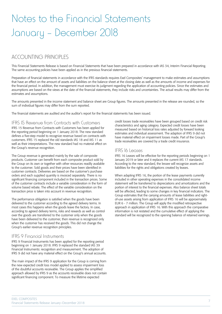# Notes to the Financial Statements January – December 2018

## ACCOUNTING PRINCIPLES

This Financial Statements Release is based on Financial Statements that have been prepared in accordance with IAS 34, Interim Financial Reporting. The same accounting policies have been applied as in the previous financial statements.

Preparation of financial statements in accordance with the IFRS standards requires Exel Composites' management to make estimates and assumptions that have an effect on the amount of assets and liabilities on the balance sheet at the closing date as well as the amounts of income and expenses for the financial period. In addition, the management must exercise its judgment regarding the application of accounting policies. Since the estimates and assumptions are based on the views at the date of the financial statements, they include risks and uncertainties. The actual results may differ from the estimates and assumptions.

The amounts presented in the income statement and balance sheet are Group figures. The amounts presented in the release are rounded, so the sum of individual figures may differ from the sum reported.

The financial statements are audited and the auditor's report for the financial statements has been issued.

#### IFRS 15 Revenue from Contracts with Customers

IFRS 15 Revenue from Contracts with Customers has been applied for the reporting period beginning on 1 January 2018. The new standard defines a five-step model to recognize revenue based on contracts with customers. IFRS 15 replaced the old standards IAS 18 and IAS 11 as well as their interpretations. The new standard had no material effect on the Group's revenue recognition.

The Group revenue is generated mainly by the sale of composite products. Customer can benefit from each composite product sold by the Group on its own or together with other resources readily available to the customer. Sold goods and their prices have been identified in customer contracts. Deliveries are based on the customer's purchase orders and each supplied quantity is invoiced separately. There is no significant financing component included in the transaction prices. Some of the customer contracts include a variable consideration in the form of volume based rebate. The effect of the variable consideration on the transaction price is taken into account in revenue recognition.

The performance obligation is satisfied when the goods have been delivered to the customer according to the agreed delivery terms. In most cases this happens when the goods leave the factory. In case, according to agreed delivery terms, risks and rewards as well as control over the goods are transferred to the customer only when the goods have been delivered to the customer, then revenue is recognized only when the customer has received the goods. This did not change the Group's earlier revenue recognition principles.

#### IFRS 9 Financial Instruments

IFRS 9 Financial Instruments has been applied for the reporting period beginning on 1 January 2018. IFRS 9 replaced the standard IAS 39 Financial Instruments: recognition and measurement. The adoption of IFRS 9 did not have any material effect on the Group's annual accounts.

The main impact of the IFRS 9 application for the Group is coming from the new expected credit loss model applied to assess impairment loss of the doubtful accounts receivable. The Group applies the simplified approach allowed by IFRS 9 as the accounts receivable does not contain significant financing component. To measure the lifetime expected

credit losses trade receivables have been grouped based on credit risk characteristics and aging category. Expected credit losses have been measured based on historical loss rates adjusted by forward looking estimates and individual assessment. The adaption of IFRS 9 did not have material effect on impairment losses made. Part of the Group's trade receivables are covered by a trade credit insurance.

#### IFRS 16 Leases

IFRS 16 Leases will be effective for the reporting periods beginning on 1 January 2019 or later and it replaces the current IAS 17 standards. According to the new standard, the lessee will recognize assets and liabilities for the rights and obligations created by leases.

When adapting IFRS 16, the portion of the lease payments currently included in other operating expenses in the consolidated income statement will be transferred to depreciations and amortizations and the portion of interest to the financial expenses. Also balance sheet totals will be affected, leading to some changes in key financial indicators. The Group estimates that the carrying amounts of lease liabilities and rightof-use assets arising from application of IFRS 16 will be approximately EUR 6 - 7 million. The Group will apply the modified retrospective approach in application of IFRS 16. With this approach the comparative information is not restated and the cumulative effect of applying the standard will be recognized to the opening balance of retained earnings.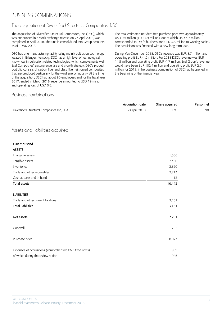# BUSINESS COMBINATIONS

### The acquisition of Diversified Structural Composites, DSC

The acquisition of Diversified Structural Composites, Inc. (DSC), which was announced in a stock exchange release on 23 April 2018, was completed in April 2018. The unit is consolidated into Group accounts as of 1 May 2018.

DSC has one manufacturing facility using mainly pultrusion technology located in Erlanger, Kentucky. DSC has a high level of technological know-how in pultrusion related technologies, which complements well Exel Composites' existing expertise and growth strategy. DSC's product portfolio consists of carbon fiber and glass fiber reinforced composites that are produced particularly for the wind energy industry. At the time of the acquisition, DSC had about 90 employees and for the fiscal year 2017, ended in March 2018, revenue amounted to USD 19 million and operating loss of USD 0.6.

#### The total estimated net debt free purchase price was approximately USD 9.5 million (EUR 7.9 million), out of which USD 5.7 million corresponded to DSC's business and USD 3.8 million to working capital. The acquisition was financed with a new long term loan.

During May-December 2018, DSC's revenue was EUR 8.7 million and operating profit EUR -1.2 million. For 2018 DSC's revenue was EUR 14.5 million and operating profit EUR -1.7 million. Exel Group's revenue would have been EUR 102.4 million and operating profit EUR 2.0 million for 2018, if the business combination of DSC had happened in the beginning of the financial year.

#### Business combinations

|                                                           | Acquisition date | Share acquired | Personne |
|-----------------------------------------------------------|------------------|----------------|----------|
| Diversified Structural Composites Inc, USA                | 30 April 2018    | 100%           | 9C       |
| Assets and liabilities acquired                           |                  |                |          |
| <b>EUR thousand</b>                                       |                  |                |          |
| <b>ASSETS</b>                                             |                  |                |          |
| Intangible assets                                         |                  | 1,586          |          |
| Tangible assets                                           |                  | 2,480          |          |
| Inventories                                               |                  | 3,650          |          |
| Trade and other receivables                               |                  | 2,713          |          |
| Cash at bank and in hand                                  |                  | 13             |          |
| <b>Total assets</b>                                       |                  | 10,442         |          |
| <b>LIABILITIES</b>                                        |                  |                |          |
| Trade and other current liabilities                       |                  | 3,161          |          |
| <b>Total liabilities</b>                                  |                  | 3,161          |          |
| Net assets                                                |                  | 7,281          |          |
| Goodwill                                                  |                  | 792            |          |
| Purchase price                                            |                  | 8,073          |          |
| Expenses of acquisitions (comprehensive P&L: fixed costs) |                  | 989            |          |
| of which during the review period                         |                  | 945            |          |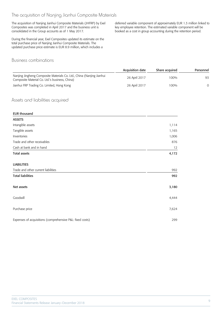### The acquisition of Nanjing Jianhui Composite Materials

The acquisition of Nanjing Jianhui Composite Materials (JHFRP) by Exel Composites was completed in April 2017 and the business unit is consolidated in the Group accounts as of 1 May 2017.

During the financial year, Exel Composites updated its estimate on the total purchase price of Nanjing Jianhui Composite Materials. The updated purchase price estimate is EUR 8.9 million, which includes a

### Business combinations

deferred variable component of approximately EUR 1.3 million linked to key employee retention. The estimated variable component will be booked as a cost in group accounting during the retention period.

|                                                                                                                         | Acquisition date | Share acquired | Personnel |
|-------------------------------------------------------------------------------------------------------------------------|------------------|----------------|-----------|
| Nanjing Jingheng Composite Materials Co. Ltd., China (Nanjing Jianhui<br>Composite Material Co. Ltd.'s business, China) | 26 April 2017    | 100%           |           |
| Jianhui FRP Trading Co. Limited, Hong Kong                                                                              | 26 April 2017    | 100%           |           |

#### Assets and liabilities acquired

| <b>EUR thousand</b>                                       |       |
|-----------------------------------------------------------|-------|
| <b>ASSETS</b>                                             |       |
| Intangible assets                                         | 1,114 |
| Tangible assets                                           | 1,165 |
| Inventories                                               | 1,006 |
| Trade and other receivables                               | 876   |
| Cash at bank and in hand                                  | 12    |
| <b>Total assets</b>                                       | 4,172 |
| <b>LIABILITIES</b>                                        |       |
| Trade and other current liabilities                       | 992   |
| <b>Total liabilities</b>                                  | 992   |
| Net assets                                                | 3,180 |
| Goodwill                                                  | 4,444 |
| Purchase price                                            | 7,624 |
| Expenses of acquisitions (comprehensive P&L: fixed costs) | 299   |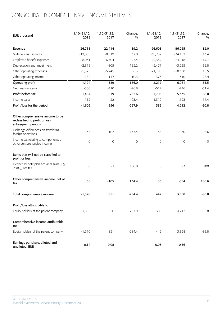# CONSOLIDATED COMPREHENSIVE INCOME STATEMENT

| <b>EUR thousand</b>                                                                          | 1.10.-31.12.<br>2018 | 1.10.-31.12.<br>2017 | Change,<br>$\frac{0}{0}$ | $1.1.-31.12.$<br>2018 | $1.1 - 31.12.$<br>2017 | Change,<br>$\frac{0}{0}$ |
|----------------------------------------------------------------------------------------------|----------------------|----------------------|--------------------------|-----------------------|------------------------|--------------------------|
| Revenue                                                                                      | 26,711               | 22,414               | 19.2                     | 96,608                | 86,255                 | 12.0                     |
| Materials and services                                                                       | $-12,085$            | $-8,819$             | 37.0                     | $-38,757$             | $-34,182$              | 13.4                     |
| Employee benefit expenses                                                                    | $-8,031$             | $-6,304$             | 27.4                     | $-29,332$             | $-24,918$              | 17.7                     |
| Depreciation and impairment                                                                  | $-2,376$             | $-805$               | 195.2                    | $-5,477$              | $-3,225$               | 69.8                     |
| Other operating expenses                                                                     | $-5,576$             | $-5,245$             | 6.3                      | $-21,198$             | $-18,358$              | 15.5                     |
| Other operating income                                                                       | 162                  | 147                  | 10.3                     | 373                   | 510                    | $-26.9$                  |
| Operating profit                                                                             | $-1,194$             | 1,389                | $-186.0$                 | 2,217                 | 6,081                  | $-63.5$                  |
| Net financial items                                                                          | $-300$               | $-410$               | $-26.8$                  | $-512$                | $-746$                 | $-31.4$                  |
| Profit before tax                                                                            | $-1,494$             | 979                  | $-252.6$                 | 1,705                 | 5,335                  | $-68.0$                  |
| Income taxes                                                                                 | $-112$               | $-22$                | 403.4                    | $-1, 319$             | $-1,123$               | 17.4                     |
| Profit/loss for the period                                                                   | $-1,606$             | 956                  | $-267.9$                 | 386                   | 4,212                  | $-90.8$                  |
| Other comprehensive income to be<br>reclassified to profit or loss in<br>subsequent periods: |                      |                      |                          |                       |                        |                          |
| Exchange differences on translating<br>foreign operations                                    | 36                   | $-102$               | 135.4                    | 56                    | $-850$                 | 106.6                    |
| Income tax relating to components of<br>other comprehensive income                           | $\mathsf{O}\xspace$  | $\mathsf{O}\xspace$  | $\mathsf O$              | 0                     | $\mathsf O$            | 0                        |
| Items that will not be classified to<br>profit or loss:                                      |                      |                      |                          |                       |                        |                          |
| Defined benefit plan actuarial gains(+)/<br>$loss(-)$ , net tax                              | $\mathbf 0$          | $-3$                 | 100.0                    | 0                     | $-3$                   | 100                      |
| Other comprehensive income, net of<br>tax                                                    | 36                   | $-105$               | 134.4                    | 56                    | $-854$                 | 106.6                    |
| Total comprehensive income                                                                   | $-1,570$             | 851                  | $-284.4$                 | 442                   | 3,358                  | $-86.8$                  |
| Profit/loss attributable to:                                                                 |                      |                      |                          |                       |                        |                          |
| Equity holders of the parent company                                                         | $-1,606$             | 956                  | $-267.9$                 | 386                   | 4,212                  | $-90.8$                  |
| Comprehensive income attributable<br>to:                                                     |                      |                      |                          |                       |                        |                          |
| Equity holders of the parent company                                                         | $-1,570$             | 851                  | $-284.4$                 | 442                   | 3,358                  | $-86.8$                  |
| Earnings per share, diluted and<br>undiluted, EUR                                            | $-0.14$              | 0.08                 |                          | 0.03                  | 0.36                   |                          |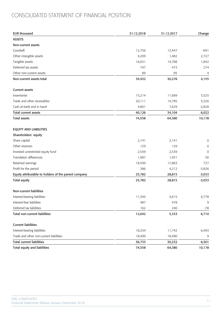# CONSOLIDATED STATEMENT OF FINANCIAL POSITION

| <b>EUR thousand</b>                                  | 31.12.2018 | 31.12.2017 | Change      |
|------------------------------------------------------|------------|------------|-------------|
| <b>ASSETS</b>                                        |            |            |             |
| Non-current assets                                   |            |            |             |
| Goodwill                                             | 12,756     | 13,447     | $-691$      |
| Other intangible assets                              | 4,209      | 1,482      | 2,727       |
| Tangible assets                                      | 16,631     | 14,788     | 1,842       |
| Deferred tax assets                                  | 747        | 473        | 274         |
| Other non-current assets                             | 89         | 85         | 4           |
| Non-current assets total                             | 34,432     | 30,276     | 4,155       |
| <b>Current assets</b>                                |            |            |             |
| Inventories                                          | 15,214     | 11,689     | 3,525       |
| Trade and other receivables                          | 20,111     | 14,785     | 5,326       |
| Cash at bank and in hand                             | 4,801      | 7,629      | $-2,828$    |
| Total current assets                                 | 40,126     | 34,104     | 6,022       |
| <b>Total assets</b>                                  | 74,558     | 64,380     | 10,178      |
| <b>EQUITY AND LIABILITIES</b>                        |            |            |             |
| Shareholders' equity                                 |            |            |             |
| Share capital                                        | 2,141      | 2,141      | 0           |
| Other reserves                                       | 129        | 129        | 0           |
| Invested unrestricted equity fund                    | 2,539      | 2,539      | $\mathbf 0$ |
| <b>Translation differences</b>                       | 1,987      | 1,931      | 56          |
| Retained earnings                                    | 18,599     | 17,863     | 737         |
| Profit for the period                                | 386        | 4,212      | $-3,826$    |
| Equity attributable to holders of the parent company | 25,782     | 28,815     | $-3,033$    |
| <b>Total equity</b>                                  | 25,782     | 28,815     | $-3,033$    |
| Non-current liabilities                              |            |            |             |
| Interest-bearing liabilities                         | 11,393     | 4,615      | 6,778       |
| Interest-free liabilities                            | 487        | 478        | 9           |
| Deferred tax liabilities                             | 162        | 240        | $-78$       |
| <b>Total non-current liabilities</b>                 | 12,042     | 5,333      | 6,710       |
| <b>Current liabilities</b>                           |            |            |             |
| Interest-bearing liabilities                         | 18,234     | 11,742     | 6,493       |
| Trade and other non-current liabilities              | 18,499     | 18,490     | 9           |
| <b>Total current liabilities</b>                     | 36,733     | 30,232     | 6,501       |
| <b>Total equity and liabilities</b>                  | 74,558     | 64,380     | 10,178      |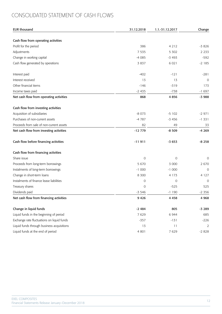# CONSOLIDATED STATEMENT OF CASH FLOWS

| <b>EUR thousand</b>                        | 31.12.2018 | 1.1.-31.12.2017 | Change        |
|--------------------------------------------|------------|-----------------|---------------|
|                                            |            |                 |               |
| Cash flow from operating activities        |            |                 |               |
| Profit for the period                      | 386        | 4 2 1 2         | $-3826$       |
| Adjustments                                | 7 5 3 5    | 5 3 0 2         | 2 2 3 3       |
| Change in working capital                  | $-4085$    | $-3493$         | $-592$        |
| Cash flow generated by operations          | 3 8 3 7    | 6 0 2 1         | $-2185$       |
| Interest paid                              | $-402$     | $-121$          | $-281$        |
| Interest received                          | 13         | 13              | 0             |
| Other financial items                      | $-146$     | $-319$          | 173           |
| Income taxes paid                          | $-2435$    | $-738$          | $-1697$       |
| Net cash flow from operating activities    | 868        | 4856            | $-3988$       |
| Cash flow from investing activities        |            |                 |               |
| Acquisition of subsidiaries                | $-8073$    | $-5102$         | $-2971$       |
| Purchases of non-current assets            | $-4787$    | $-3456$         | $-1331$       |
| Proceeds from sale of non-current assets   | 82         | 49              | 33            |
| Net cash flow from investing activities    | $-12779$   | $-8509$         | $-4269$       |
| Cash flow before financing activities      | $-11911$   | $-3653$         | $-8258$       |
| Cash flow from financing activities        |            |                 |               |
| Share issue                                | 0          | 0               | 0             |
| Proceeds from long-term borrowings         | 5 6 7 0    | 3 000           | 2670          |
| Instalments of long-term borrowings        | $-1000$    | $-1000$         | $\mathbf 0$   |
| Change in short-term loans                 | 8 3 0 0    | 4 1 7 3         | 4 1 2 7       |
| Instalments of finance lease liabilities   | 0          | 0               | $\mathcal{O}$ |
| Treasury shares                            | 0          | $-525$          | 525           |
| Dividends paid                             | $-3546$    | $-1190$         | $-2356$       |
| Net cash flow from financing activities    | 9 4 2 6    | 4458            | 4 9 6 8       |
| Change in liquid funds                     | $-2484$    | 805             | $-3289$       |
| Liquid funds in the beginning of period    | 7629       | 6944            | 685           |
| Exchange rate fluctuations on liquid funds | $-357$     | $-131$          | $-226$        |
| Liquid funds through business acquisitions | 13         | 11              | 2             |
| Liquid funds at the end of period          | 4 8 0 1    | 7629            | $-2828$       |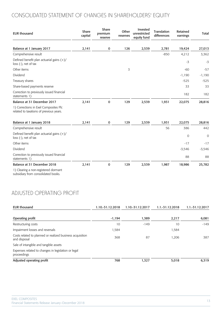# CONSOLIDATED STATEMENT OF CHANGES IN SHAREHOLDERS' EQUITY

| <b>EUR thousand</b>                                                              | Share<br>capital | Share<br>premium<br>reserve | Other<br>reserves | Invested<br>unrestricted<br>equity fund | Translation<br>differences | Retained<br>earnings | <b>Total</b>   |
|----------------------------------------------------------------------------------|------------------|-----------------------------|-------------------|-----------------------------------------|----------------------------|----------------------|----------------|
| Balance at 1 January 2017                                                        | 2,141            | 0                           | 126               | 2,539                                   | 2,781                      | 19,424               | 27,013         |
| Comprehensive result                                                             |                  |                             |                   |                                         | $-850$                     | 4,212                | 3,362          |
| Defined benefit plan actuarial gains $(+)/$<br>$loss$ (-), net of tax            |                  |                             |                   |                                         |                            | $-3$                 | $-3$           |
| Other items                                                                      |                  |                             | 3                 |                                         |                            | $-60$                | $-57$          |
| Dividend                                                                         |                  |                             |                   |                                         |                            | $-1,190$             | $-1,190$       |
| Treasury shares                                                                  |                  |                             |                   |                                         |                            | $-525$               | $-525$         |
| Share-based payments reserve                                                     |                  |                             |                   |                                         |                            | 33                   | 33             |
| Correction to previously issued financial<br>statements 1)                       |                  |                             |                   |                                         |                            | 182                  | 182            |
| Balance at 31 December 2017                                                      | 2,141            | 0                           | 129               | 2,539                                   | 1,931                      | 22,075               | 28,816         |
| 1) Corrections in Exel Composites Plc<br>related to taxations of previous years. |                  |                             |                   |                                         |                            |                      |                |
| Balance at 1 January 2018                                                        | 2,141            | 0                           | 129               | 2,539                                   | 1,931                      | 22,075               | 28,816         |
| Comprehensive result                                                             |                  |                             |                   |                                         | 56                         | 386                  | 442            |
| Defined benefit plan actuarial gains (+)/<br>loss (-), net of tax                |                  |                             |                   |                                         |                            | $\mathbf 0$          | $\overline{0}$ |
| Other items                                                                      |                  |                             |                   |                                         |                            | $-17$                | $-17$          |
| Dividend                                                                         |                  |                             |                   |                                         |                            | $-3,546$             | $-3,546$       |
| Correction to previously issued financial<br>statements 1)                       |                  |                             |                   |                                         |                            | 88                   | 88             |
| Balance at 31 December 2018                                                      | 2,141            | 0                           | 129               | 2,539                                   | 1,987                      | 18,986               | 25,782         |
| 1) Clearing a non-registered dormant<br>subsidiary from consolidated books.      |                  |                             |                   |                                         |                            |                      |                |

# ADJUSTED OPERATING PROFIT

| <b>EUR thousand</b>                                                       | 1.10.-31.12.2018 | 1.10.-31.12.2017 | 1.1.-31.12.2018 | 1.1.-31.12.2017 |
|---------------------------------------------------------------------------|------------------|------------------|-----------------|-----------------|
| Operating profit                                                          | $-1,194$         | 1,389            | 2,217           | 6,081           |
| Restructuring costs                                                       | 10               | $-149$           | 10              | $-149$          |
| Impairment losses and reversals                                           | 1,584            |                  | 1,584           |                 |
| Costs related to planned or realized business acquisition<br>and disposal | 368              | 87               | 1,206           | 387             |
| Sale of intangible and tangible assets                                    |                  |                  |                 |                 |
| Expenses related to changes in legislation or legal<br>proceedings        |                  |                  |                 |                 |
| Adjusted operating profit                                                 | 768              | 1,327            | 5,018           | 6,319           |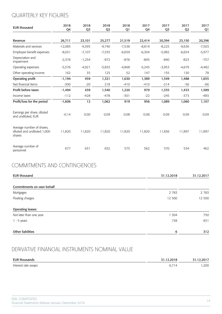# QUARTERLY KEY FIGURES

| <b>EUR thousand</b>                                                | 2018<br>Q4 | 2018<br>Q3 | 2018<br>Q <sub>2</sub> | 2018<br>Q1 | 2017<br>Q <sub>4</sub> | 2017<br>Q3 | 2017<br>Q2 | 2017<br>Q1 |
|--------------------------------------------------------------------|------------|------------|------------------------|------------|------------------------|------------|------------|------------|
| Revenue                                                            | 26,711     | 23,101     | 25,277                 | 21,519     | 22,414                 | 20,394     | 23,150     | 20,296     |
| Materials and services                                             | $-12,085$  | $-9,395$   | $-9,740$               | $-7,538$   | $-8,819$               | $-8,225$   | $-9,636$   | $-7,503$   |
| Employee benefit expenses                                          | $-8,031$   | $-7,107$   | $-7,535$               | $-6,659$   | $-6,304$               | $-5,982$   | $-6,654$   | $-5,977$   |
| Depreciation and<br>impairment                                     | $-2,376$   | $-1,254$   | $-972$                 | $-876$     | $-805$                 | $-840$     | $-823$     | $-757$     |
| Operating expenses                                                 | $-5,576$   | $-4,921$   | $-5,833$               | $-4,868$   | $-5,245$               | $-3,953$   | $-4,679$   | $-4,482$   |
| Other operating income                                             | 162        | 35         | 123                    | 52         | 147                    | 155        | 130        | 78         |
| Operating profit                                                   | $-1,194$   | 459        | 1,321                  | 1,630      | 1,389                  | 1,549      | 1,488      | 1,655      |
| Net financial items                                                | $-300$     | $-20$      | 218                    | $-410$     | $-410$                 | $-214$     | $-56$      | $-66$      |
| Profit before taxes                                                | $-1,494$   | 439        | 1,540                  | 1,220      | 979                    | 1,335      | 1,433      | 1,589      |
| Income taxes                                                       | $-112$     | $-428$     | $-478$                 | $-301$     | $-22$                  | $-245$     | $-373$     | $-483$     |
| Profit/loss for the period                                         | $-1,606$   | 12         | 1,062                  | 919        | 956                    | 1,089      | 1,060      | 1,107      |
| Earnings per share, diluted<br>and undiluted, EUR                  | $-0.14$    | 0.00       | 0.09                   | 0.08       | 0.08                   | 0.09       | 0.09       | 0.09       |
| Average number of shares,<br>diluted and undiluted 1,000<br>shares | 11,820     | 11,820     | 11,820                 | 11,820     | 11,820                 | 11,836     | 11,897     | 11,897     |
| Average number of<br>personnel                                     | 677        | 631        | 652                    | 575        | 562                    | 570        | 534        | 462        |

## COMMITMENTS AND CONTINGENCIES

| <b>EUR thousand</b>       | 31.12.2018 | 31.12.2017 |
|---------------------------|------------|------------|
| Commitments on own behalf |            |            |
| Mortgages                 | 2 7 8 3    | 2 7 8 3    |
| Floating charges          | 12 500     | 12 500     |
| <b>Operating leases</b>   |            |            |
| Not later than one year   | 304        | 750        |
| $1 - 5$ years             | 738        | 831        |
| <b>Other liabilities</b>  | 6          | 312        |

# DERIVATIVE FINANCIAL INSTRUMENTS NOMINAL VALUE

| <b>EUR thousands</b> | 31.12.2018 | 31.12.2017 |
|----------------------|------------|------------|
| Interest rate swaps  | . v.,      | ,200       |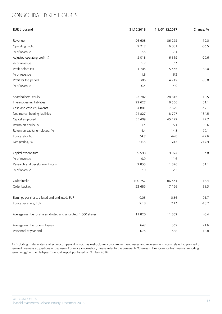# CONSOLIDATED KEY FIGURES

| <b>EUR thousand</b>                                           | 31.12.2018 | 1.1.-31.12.2017 | Change, % |
|---------------------------------------------------------------|------------|-----------------|-----------|
|                                                               |            |                 |           |
| Revenue                                                       | 96 608     | 86 255          | 12.0      |
| Operating profit                                              | 2 2 1 7    | 6 0 8 1         | $-63.5$   |
| % of revenue                                                  | 2.3        | 7.1             |           |
| Adjusted operating profit 1)                                  | 5018       | 6319            | $-20.6$   |
| % of revenue                                                  | 5.2        | 7.3             |           |
| Profit before tax                                             | 1705       | 5 3 3 5         | $-68.0$   |
| % of revenue                                                  | 1.8        | 6.2             |           |
| Profit for the period                                         | 386        | 4212            | $-90.8$   |
| % of revenue                                                  | 0.4        | 4.9             |           |
| Shareholders' equity                                          | 25 7 82    | 28 8 15         | $-10.5$   |
| Interest-bearing liabilities                                  | 29 627     | 16 3 5 6        | 81.1      |
| Cash and cash equivalents                                     | 4 8 0 1    | 7629            | $-37.1$   |
| Net interest-bearing liabilities                              | 24 8 27    | 8727            | 184.5     |
| Capital employed                                              | 55 409     | 45 172          | 22.7      |
| Return on equity, %                                           | 1.4        | 15.1            | $-90.6$   |
| Return on capital employed, %                                 | 4.4        | 14.8            | $-70.1$   |
| Equity ratio, %                                               | 34.7       | 44.8            | $-22.6$   |
| Net gearing, %                                                | 96.3       | 30.3            | 217.9     |
| Capital expenditure                                           | 9 5 9 8    | 9974            | $-3.8$    |
| % of revenue                                                  | 9.9        | 11.6            |           |
| Research and development costs                                | 2 8 3 5    | 1876            | 51.1      |
| % of revenue                                                  | 2.9        | 2.2             |           |
| Order intake                                                  | 100 757    | 86 531          | 16.4      |
| Order backlog                                                 | 23 685     | 17 126          | 38.3      |
| Earnings per share, diluted and undiluted, EUR                | 0.03       | 0.36            | $-91.7$   |
| Equity per share, EUR                                         | 2.18       | 2.43            | $-10.2$   |
| Average number of shares, diluted and undiluted, 1,000 shares | 11 820     | 11862           | $-0.4$    |
| Average number of employees                                   | 647        | 532             | 21.6      |
| Personnel at year end                                         | 675        | 568             | 18.8      |

1) Excluding material items affecting comparability, such as restructuring costs, impairment losses and reversals, and costs related to planned or realized business acquisitions or disposals. For more information, please refer to the paragraph "Change in Exel Composites' financial reporting terminology" of the Half-year Financial Report published on 21 July 2016.